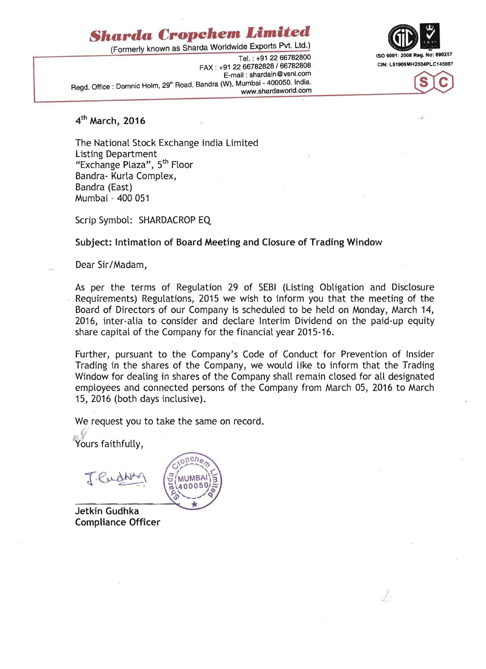## **§hardo Cropehem**  *Limited*

(Formerly known as Sharda Worldwide Exports Pvt. Ltd.)

FAX: +91 22 66782828 / 66782808 E-mail: shardain@vsnl.com Regd. Office: Domnic Holm, 29" Road, Bandra (W), Mumbai - 400050. India.<br>www.shardaworld.com



!



4<sup>th</sup> March, 2016

The National Stock Exchange India Limited Listing Department "Exchange Plaza", 5th Floor Bandra- Kurla Complex, Bandra (East) Mumbai - 400 051

Scrip Symbol: SHARDACROP EQ

## Subject: Intimation of Board Meeting and Closure of Trading Window

Dear Sir/Madam,

As per the terms of Regulation 29 of SEBI (Listing Obligation and Disclosure Requirements) Regulations, 2015 we wish to inform you that the meeting of the Board of Directors of our Company is scheduled to be held on Monday, March 14, 2016, inter-alia to consider and declare Interim Dividend on the paid-up equity share capital of the Company for the financial year 2015-16.

Further, pursuant to the Company's Code of Conduct for Prevention of Insider Trading in the shares of the Company, we would like to inform that the Trading Window for dealing in shares of the Company shall remain closed for all designated employees and connected persons of the Company from March 05, 2016 to March 15, 2016 (both days inclusive).

We request you to take the same on record.

Yours faithfully,

I



Jetkin Gudhka Compliance Officer